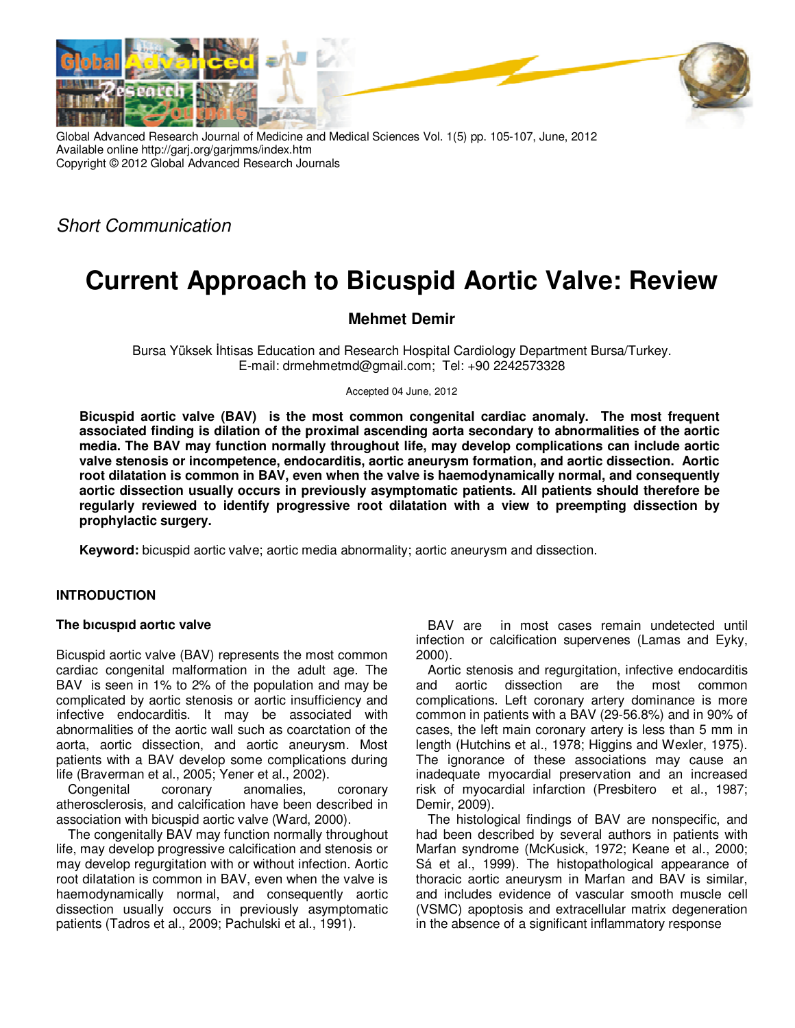



Global Advanced Research Journal of Medicine and Medical Sciences Vol. 1(5) pp. 105-107, June, 2012 Available online http://garj.org/garjmms/index.htm Copyright © 2012 Global Advanced Research Journals

Short Communication

# **Current Approach to Bicuspid Aortic Valve: Review**

## **Mehmet Demir**

Bursa Yüksek İhtisas Education and Research Hospital Cardiology Department Bursa/Turkey. E-mail: drmehmetmd@gmail.com; Tel: +90 2242573328

Accepted 04 June, 2012

**Bicuspid aortic valve (BAV) is the most common congenital cardiac anomaly. The most frequent associated finding is dilation of the proximal ascending aorta secondary to abnormalities of the aortic media. The BAV may function normally throughout life, may develop complications can include aortic valve stenosis or incompetence, endocarditis, aortic aneurysm formation, and aortic dissection. Aortic root dilatation is common in BAV, even when the valve is haemodynamically normal, and consequently aortic dissection usually occurs in previously asymptomatic patients. All patients should therefore be regularly reviewed to identify progressive root dilatation with a view to preempting dissection by prophylactic surgery.** 

**Keyword:** bicuspid aortic valve; aortic media abnormality; aortic aneurysm and dissection.

### **INTRODUCTION**

#### **The bıcuspıd aortıc valve**

Bicuspid aortic valve (BAV) represents the most common cardiac congenital malformation in the adult age. The BAV is seen in 1% to 2% of the population and may be complicated by aortic stenosis or aortic insufficiency and infective endocarditis. It may be associated with abnormalities of the aortic wall such as coarctation of the aorta, aortic dissection, and aortic aneurysm. Most patients with a BAV develop some complications during life (Braverman et al., 2005; Yener et al., 2002).

Congenital coronary anomalies, coronary atherosclerosis, and calcification have been described in association with bicuspid aortic valve (Ward, 2000).

The congenitally BAV may function normally throughout life, may develop progressive calcification and stenosis or may develop regurgitation with or without infection. Aortic root dilatation is common in BAV, even when the valve is haemodynamically normal, and consequently aortic dissection usually occurs in previously asymptomatic patients (Tadros et al., 2009; Pachulski et al., 1991).

BAV are in most cases remain undetected until infection or calcification supervenes (Lamas and Eyky, 2000).

Aortic stenosis and regurgitation, infective endocarditis and aortic dissection are the most common complications. Left coronary artery dominance is more common in patients with a BAV (29-56.8%) and in 90% of cases, the left main coronary artery is less than 5 mm in length (Hutchins et al., 1978; Higgins and Wexler, 1975). The ignorance of these associations may cause an inadequate myocardial preservation and an increased risk of myocardial infarction (Presbitero et al., 1987; Demir, 2009).

The histological findings of BAV are nonspecific, and had been described by several authors in patients with Marfan syndrome (McKusick, 1972; Keane et al., 2000; Sá et al., 1999). The histopathological appearance of thoracic aortic aneurysm in Marfan and BAV is similar, and includes evidence of vascular smooth muscle cell (VSMC) apoptosis and extracellular matrix degeneration in the absence of a significant inflammatory response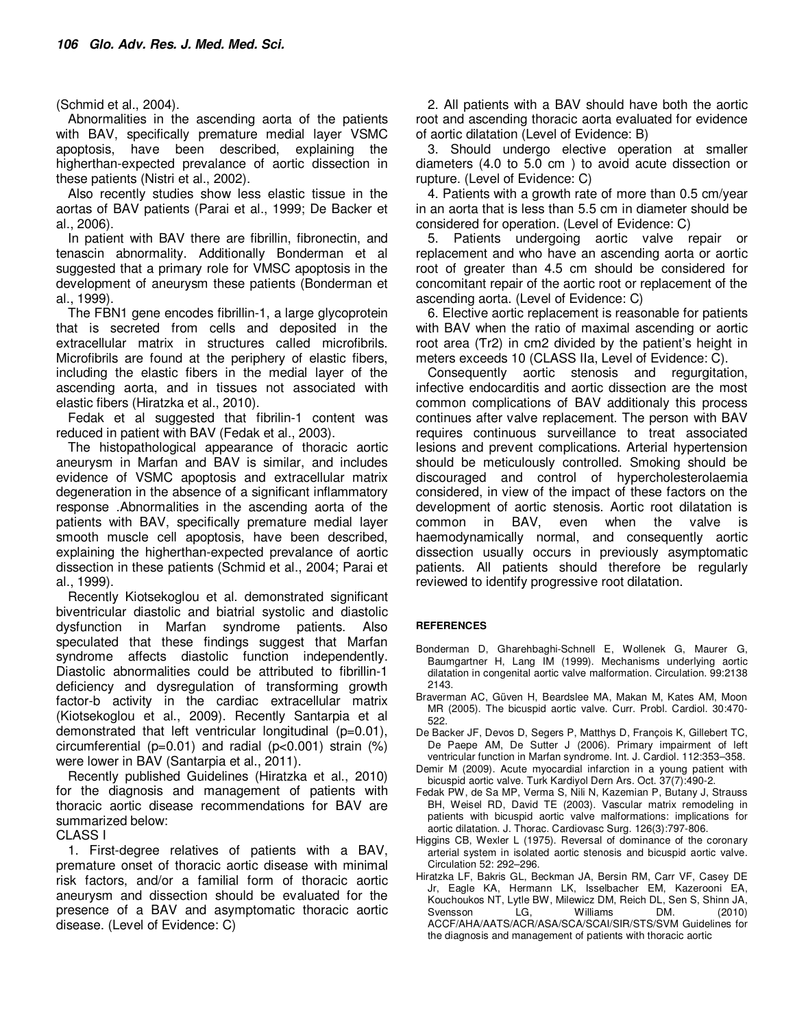(Schmid et al., 2004).

Abnormalities in the ascending aorta of the patients with BAV, specifically premature medial layer VSMC apoptosis, have been described, explaining the higherthan-expected prevalance of aortic dissection in these patients (Nistri et al., 2002).

Also recently studies show less elastic tissue in the aortas of BAV patients (Parai et al., 1999; De Backer et al., 2006).

In patient with BAV there are fibrillin, fibronectin, and tenascin abnormality. Additionally Bonderman et al suggested that a primary role for VMSC apoptosis in the development of aneurysm these patients (Bonderman et al., 1999).

The FBN1 gene encodes fibrillin-1, a large glycoprotein that is secreted from cells and deposited in the extracellular matrix in structures called microfibrils. Microfibrils are found at the periphery of elastic fibers, including the elastic fibers in the medial layer of the ascending aorta, and in tissues not associated with elastic fibers (Hiratzka et al., 2010).

Fedak et al suggested that fibrilin-1 content was reduced in patient with BAV (Fedak et al., 2003).

The histopathological appearance of thoracic aortic aneurysm in Marfan and BAV is similar, and includes evidence of VSMC apoptosis and extracellular matrix degeneration in the absence of a significant inflammatory response .Abnormalities in the ascending aorta of the patients with BAV, specifically premature medial layer smooth muscle cell apoptosis, have been described, explaining the higherthan-expected prevalance of aortic dissection in these patients (Schmid et al., 2004; Parai et al., 1999).

Recently Kiotsekoglou et al. demonstrated significant biventricular diastolic and biatrial systolic and diastolic dysfunction in Marfan syndrome patients. Also speculated that these findings suggest that Marfan syndrome affects diastolic function independently. Diastolic abnormalities could be attributed to fibrillin-1 deficiency and dysregulation of transforming growth factor-b activity in the cardiac extracellular matrix (Kiotsekoglou et al., 2009). Recently Santarpia et al demonstrated that left ventricular longitudinal (p=0.01), circumferential ( $p=0.01$ ) and radial ( $p<0.001$ ) strain (%) were lower in BAV (Santarpia et al., 2011).

Recently published Guidelines (Hiratzka et al., 2010) for the diagnosis and management of patients with thoracic aortic disease recommendations for BAV are summarized below:

CLASS I

1. First-degree relatives of patients with a BAV, premature onset of thoracic aortic disease with minimal risk factors, and/or a familial form of thoracic aortic aneurysm and dissection should be evaluated for the presence of a BAV and asymptomatic thoracic aortic disease. (Level of Evidence: C)

2. All patients with a BAV should have both the aortic root and ascending thoracic aorta evaluated for evidence of aortic dilatation (Level of Evidence: B)

3. Should undergo elective operation at smaller diameters (4.0 to 5.0 cm ) to avoid acute dissection or rupture. (Level of Evidence: C)

4. Patients with a growth rate of more than 0.5 cm/year in an aorta that is less than 5.5 cm in diameter should be considered for operation. (Level of Evidence: C)

5. Patients undergoing aortic valve repair or replacement and who have an ascending aorta or aortic root of greater than 4.5 cm should be considered for concomitant repair of the aortic root or replacement of the ascending aorta. (Level of Evidence: C)

6. Elective aortic replacement is reasonable for patients with BAV when the ratio of maximal ascending or aortic root area (Tr2) in cm2 divided by the patient's height in meters exceeds 10 (CLASS IIa, Level of Evidence: C).

Consequently aortic stenosis and regurgitation, infective endocarditis and aortic dissection are the most common complications of BAV additionaly this process continues after valve replacement. The person with BAV requires continuous surveillance to treat associated lesions and prevent complications. Arterial hypertension should be meticulously controlled. Smoking should be discouraged and control of hypercholesterolaemia considered, in view of the impact of these factors on the development of aortic stenosis. Aortic root dilatation is common in BAV, even when the valve is haemodynamically normal, and consequently aortic dissection usually occurs in previously asymptomatic patients. All patients should therefore be regularly reviewed to identify progressive root dilatation.

#### **REFERENCES**

- Bonderman D, Gharehbaghi-Schnell E, Wollenek G, Maurer G, Baumgartner H, Lang IM (1999). Mechanisms underlying aortic dilatation in congenital aortic valve malformation. Circulation. 99:2138 2143.
- Braverman AC, Güven H, Beardslee MA, Makan M, Kates AM, Moon MR (2005). The bicuspid aortic valve. Curr. Probl. Cardiol. 30:470- 522.
- De Backer JF, Devos D, Segers P, Matthys D, François K, Gillebert TC, De Paepe AM, De Sutter J (2006). Primary impairment of left ventricular function in Marfan syndrome. Int. J. Cardiol. 112:353–358.
- Demir M (2009). Acute myocardial infarction in a young patient with bicuspid aortic valve. Turk Kardiyol Dern Ars. Oct. 37(7):490-2.
- Fedak PW, de Sa MP, Verma S, Nili N, Kazemian P, Butany J, Strauss BH, Weisel RD, David TE (2003). Vascular matrix remodeling in patients with bicuspid aortic valve malformations: implications for aortic dilatation. J. Thorac. Cardiovasc Surg. 126(3):797-806.
- Higgins CB, Wexler L (1975). Reversal of dominance of the coronary arterial system in isolated aortic stenosis and bicuspid aortic valve. Circulation 52: 292–296.
- Hiratzka LF, Bakris GL, Beckman JA, Bersin RM, Carr VF, Casey DE Jr, Eagle KA, Hermann LK, Isselbacher EM, Kazerooni EA, Kouchoukos NT, Lytle BW, Milewicz DM, Reich DL, Sen S, Shinn JA, Svensson LG. Williams DM. ACCF/AHA/AATS/ACR/ASA/SCA/SCAI/SIR/STS/SVM Guidelines for the diagnosis and management of patients with thoracic aortic